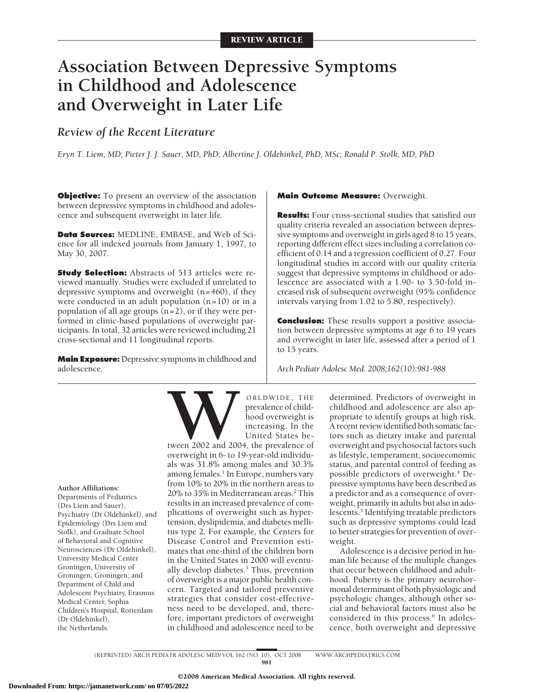# **Association Between Depressive Symptoms in Childhood and Adolescence and Overweight in Later Life**

# *Review of the Recent Literature*

*Eryn T. Liem, MD; Pieter J. J. Sauer, MD, PhD; Albertine J. Oldehinkel, PhD, MSc; Ronald P. Stolk, MD, PhD*

**Objective:** To present an overview of the association between depressive symptoms in childhood and adolescence and subsequent overweight in later life.

**Data Sources:** MEDLINE, EMBASE, and Web of Science for all indexed journals from January 1, 1997, to May 30, 2007.

**Study Selection:** Abstracts of 513 articles were reviewed manually. Studies were excluded if unrelated to depressive symptoms and overweight (n=460), if they were conducted in an adult population  $(n=10)$  or in a population of all age groups  $(n=2)$ , or if they were performed in clinic-based populations of overweight participants. In total, 32 articles were reviewed including 21 cross-sectional and 11 longitudinal reports.

**Main Exposure:** Depressive symptoms in childhood and adolescence.

#### **Main Outcome Measure:** Overweight.

**Results:** Four cross-sectional studies that satisfied our quality criteria revealed an association between depressive symptoms and overweight in girls aged 8 to 15 years, reporting different effect sizes including a correlation coefficient of 0.14 and a regression coefficient of 0.27. Four longitudinal studies in accord with our quality criteria suggest that depressive symptoms in childhood or adolescence are associated with a 1.90- to 3.50-fold increased risk of subsequent overweight (95% confidence intervals varying from 1.02 to 5.80, respectively).

**Conclusion:** These results support a positive association between depressive symptoms at age 6 to 19 years and overweight in later life, assessed after a period of 1 to 15 years.

*Arch Pediatr Adolesc Med. 2008;162(10):981-988*

**Author Affiliations:**

Departments of Pediatrics (Drs Liem and Sauer), Psychiatry (Dr Oldehinkel), and Epidemiology (Drs Liem and Stolk), and Graduate School of Behavioral and Cognitive Neurosciences (Dr Oldehinkel), University Medical Center Groningen, University of Groningen, Groningen; and Department of Child and Adolescent Psychiatry, Erasmus Medical Center, Sophia Children's Hospital, Rotterdam (Dr Oldehinkel), the Netherlands.



**WANDE, THE**<br>
prevalence of child-<br>
hood overweight is<br>
increasing. In the<br>
United States be-<br>
overweight in 6- to 19-year-old individuprevalence of childhood overweight is increasing. In the United States be-

tween 2002 and 2004, the prevalence of als was 31.8% among males and 30.3% among females.<sup>1</sup> In Europe, numbers vary from 10% to 20% in the northern areas to 20% to 35% in Mediterranean areas.<sup>2</sup> This results in an increased prevalence of complications of overweight such as hypertension, dyslipidemia, and diabetes mellitus type 2. For example, the Centers for Disease Control and Prevention estimates that one-third of the children born in the United States in 2000 will eventually develop diabetes.<sup>3</sup> Thus, prevention of overweight is a major public health concern. Targeted and tailored preventive strategies that consider cost-effectiveness need to be developed, and, therefore, important predictors of overweight in childhood and adolescence need to be

determined. Predictors of overweight in childhood and adolescence are also appropriate to identify groups at high risk. A recent review identified both somatic factors such as dietary intake and parental overweight and psychosocial factors such as lifestyle, temperament, socioeconomic status, and parental control of feeding as possible predictors of overweight.<sup>4</sup> Depressive symptoms have been described as a predictor and as a consequence of overweight, primarily in adults but also in adolescents.<sup>5</sup> Identifying treatable predictors such as depressive symptoms could lead to better strategies for prevention of overweight.

Adolescence is a decisive period in human life because of the multiple changes that occur between childhood and adulthood. Puberty is the primary neurohormonal determinant of both physiologic and psychologic changes, although other social and behavioral factors must also be considered in this process.<sup>6</sup> In adolescence, both overweight and depressive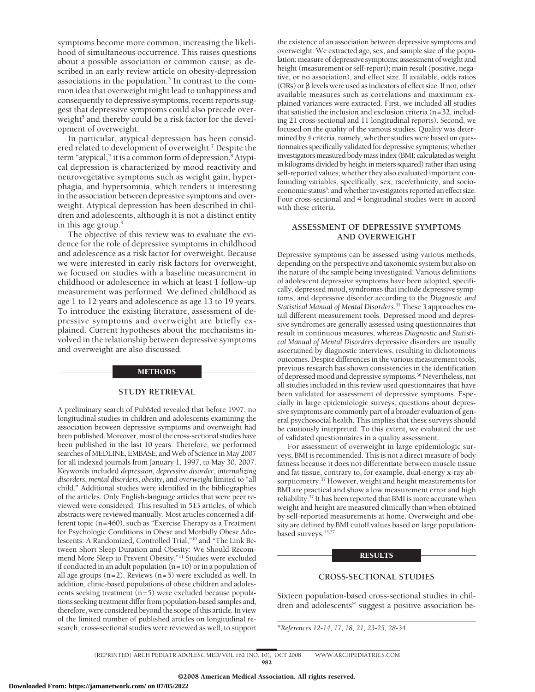symptoms become more common, increasing the likelihood of simultaneous occurrence. This raises questions about a possible association or common cause, as described in an early review article on obesity-depression associations in the population.<sup>5</sup> In contrast to the common idea that overweight might lead to unhappiness and consequently to depressive symptoms, recent reports suggest that depressive symptoms could also precede overweight<sup>5</sup> and thereby could be a risk factor for the development of overweight.

In particular, atypical depression has been considered related to development of overweight.<sup>7</sup> Despite the term "atypical," it is a common form of depression.<sup>8</sup> Atypical depression is characterized by mood reactivity and neurovegetative symptoms such as weight gain, hyperphagia, and hypersomnia, which renders it interesting in the association between depressive symptoms and overweight. Atypical depression has been described in children and adolescents, although it is not a distinct entity in this age group.<sup>9</sup>

The objective of this review was to evaluate the evidence for the role of depressive symptoms in childhood and adolescence as a risk factor for overweight. Because we were interested in early risk factors for overweight, we focused on studies with a baseline measurement in childhood or adolescence in which at least 1 follow-up measurement was performed. We defined childhood as age 1 to 12 years and adolescence as age 13 to 19 years. To introduce the existing literature, assessment of depressive symptoms and overweight are briefly explained. Current hypotheses about the mechanisms involved in the relationship between depressive symptoms and overweight are also discussed.

#### METHODS

#### **STUDY RETRIEVAL**

A preliminary search of PubMed revealed that before 1997, no longitudinal studies in children and adolescents examining the association between depressive symptoms and overweight had been published.Moreover, most of the cross-sectional studies have been published in the last 10 years. Therefore, we performed searches of MEDLINE, EMBASE, and Web of Science in May 2007 for all indexed journals from January 1, 1997, to May 30, 2007. Keywords included *depression*, *depressive disorder*, *internalizing disorders*, *mental disorders*, *obesity*, and *overweight* limited to "all child." Additional studies were identified in the bibliographies of the articles. Only English-language articles that were peer reviewed were considered. This resulted in 513 articles, of which abstracts were reviewed manually. Most articles concerned a different topic (n=460), such as "Exercise Therapy as a Treatment for Psychologic Conditions in Obese and Morbidly Obese Adolescents: A Randomized, Controlled Trial,"10 and "The Link Between Short Sleep Duration and Obesity: We Should Recommend More Sleep to Prevent Obesity."11 Studies were excluded if conducted in an adult population  $(n=10)$  or in a population of all age groups  $(n=2)$ . Reviews  $(n=5)$  were excluded as well. In addition, clinic-based populations of obese children and adolescents seeking treatment (n=5) were excluded because populations seeking treatment differ from population-based samples and, therefore, were considered beyond the scope of this article. In view of the limited number of published articles on longitudinal research, cross-sectional studies were reviewed as well, to support

the existence of an association between depressive symptoms and overweight. We extracted age, sex, and sample size of the population; measure of depressive symptoms; assessment of weight and height (measurement or self-report); main result (positive, negative, or no association), and effect size. If available, odds ratios (ORs) or  $\beta$  levels were used as indicators of effect size. If not, other available measures such as correlations and maximum explained variances were extracted. First, we included all studies that satisfied the inclusion and exclusion criteria (n=32, including 21 cross-sectional and 11 longitudinal reports). Second, we focused on the quality of the various studies. Quality was determined by 4 criteria, namely, whether studies were based on questionnaires specifically validated for depressive symptoms; whether investigators measured body mass index (BMI; calculated as weight in kilograms divided by height in meters squared) rather than using self-reported values; whether they also evaluated important confounding variables, specifically, sex, race/ethnicity, and socioeconomic status<sup>5</sup>; and whether investigators reported an effect size. Four cross-sectional and 4 longitudinal studies were in accord with these criteria.

#### **ASSESSMENT OF DEPRESSIVE SYMPTOMS AND OVERWEIGHT**

Depressive symptoms can be assessed using various methods, depending on the perspective and taxonomic system but also on the nature of the sample being investigated. Various definitions of adolescent depressive symptoms have been adopted, specifically, depressed mood, syndromes that include depressive symptoms, and depressive disorder according to the *Diagnostic and Statistical Manual of Mental Disorders*. <sup>35</sup> These 3 approaches entail different measurement tools. Depressed mood and depressive syndromes are generally assessed using questionnaires that result in continuous measures, whereas *Diagnostic and Statistical Manual of Mental Disorders* depressive disorders are usually ascertained by diagnostic interviews, resulting in dichotomous outcomes. Despite differences in the various measurement tools, previous research has shown consistencies in the identification of depressed mood and depressive symptoms.36 Nevertheless, not all studies included in this review used questionnaires that have been validated for assessment of depressive symptoms. Especially in large epidemiologic surveys, questions about depressive symptoms are commonly part of a broader evaluation of general psychosocial health. This implies that these surveys should be cautiously interpreted. To this extent, we evaluated the use of validated questionnaires in a quality assessment.

For assessment of overweight in large epidemiologic surveys, BMI is recommended. This is not a direct measure of body fatness because it does not differentiate between muscle tissue and fat tissue, contrary to, for example, dual-energy x-ray absorptiometry.<sup>37</sup> However, weight and height measurements for BMI are practical and show a low measurement error and high reliability.37 It has been reported that BMI is more accurate when weight and height are measured clinically than when obtained by self-reported measurements at home. Overweight and obesity are defined by BMI cutoff values based on large populationbased surveys.<sup>15,27</sup>

#### **RESULTS**

#### **CROSS-SECTIONAL STUDIES**

Sixteen population-based cross-sectional studies in children and adolescents\* suggest a positive association be-

\**References 12-14, 17, 18, 21, 23-25, 28-34.*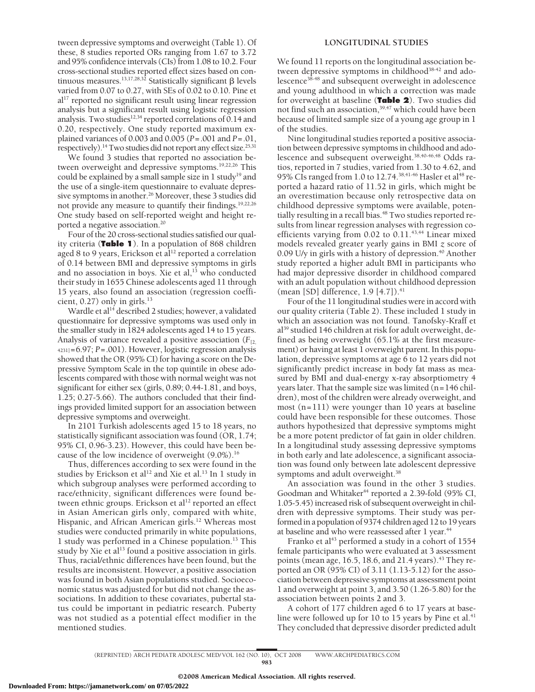tween depressive symptoms and overweight (Table 1). Of these, 8 studies reported ORs ranging from 1.67 to 3.72 and 95% confidence intervals (CIs) from 1.08 to 10.2. Four cross-sectional studies reported effect sizes based on continuous measures.<sup>13,17,28,32</sup> Statistically significant  $\beta$  levels varied from 0.07 to 0.27, with SEs of 0.02 to 0.10. Pine et al<sup>17</sup> reported no significant result using linear regression analysis but a significant result using logistic regression analysis. Two studies $12,34$  reported correlations of 0.14 and 0.20, respectively. One study reported maximum explained variances of 0.003 and 0.005 (*P*=.001 and *P*=.01, respectively).<sup>14</sup> Two studies did not report any effect size.<sup>25,31</sup>

We found 3 studies that reported no association between overweight and depressive symptoms.<sup>19,22,26</sup> This could be explained by a small sample size in 1 study<sup>19</sup> and the use of a single-item questionnaire to evaluate depressive symptoms in another.<sup>26</sup> Moreover, these 3 studies did not provide any measure to quantify their findings.19,22,26 One study based on self-reported weight and height reported a negative association.20

Four of the 20 cross-sectional studies satisfied our quality criteria (**Table 1**). In a population of 868 children aged 8 to 9 years, Erickson et al<sup>12</sup> reported a correlation of 0.14 between BMI and depressive symptoms in girls and no association in boys. Xie et al, $^{13}$  who conducted their study in 1655 Chinese adolescents aged 11 through 15 years, also found an association (regression coefficient,  $0.27$ ) only in girls.<sup>13</sup>

Wardle et al<sup>14</sup> described 2 studies; however, a validated questionnaire for depressive symptoms was used only in the smaller study in 1824 adolescents aged 14 to 15 years. Analysis of variance revealed a positive association  $(F_{[2,}]$ 4231]=6.97; *P*=.001). However, logistic regression analysis showed that the OR (95% CI) for having a score on the Depressive Symptom Scale in the top quintile in obese adolescents compared with those with normal weight was not significant for either sex (girls, 0.89; 0.44-1.81, and boys, 1.25; 0.27-5.66). The authors concluded that their findings provided limited support for an association between depressive symptoms and overweight.

In 2101 Turkish adolescents aged 15 to 18 years, no statistically significant association was found (OR, 1.74; 95% CI, 0.96-3.23). However, this could have been because of the low incidence of overweight (9.0%).<sup>16</sup>

Thus, differences according to sex were found in the studies by Erickson et al<sup>12</sup> and Xie et al.<sup>13</sup> In 1 study in which subgroup analyses were performed according to race/ethnicity, significant differences were found between ethnic groups. Erickson et al<sup>12</sup> reported an effect in Asian American girls only, compared with white, Hispanic, and African American girls.<sup>12</sup> Whereas most studies were conducted primarily in white populations, 1 study was performed in a Chinese population.13 This study by Xie et al<sup>13</sup> found a positive association in girls. Thus, racial/ethnic differences have been found, but the results are inconsistent. However, a positive association was found in both Asian populations studied. Socioeconomic status was adjusted for but did not change the associations. In addition to these covariates, pubertal status could be important in pediatric research. Puberty was not studied as a potential effect modifier in the mentioned studies.

#### **LONGITUDINAL STUDIES**

We found 11 reports on the longitudinal association between depressive symptoms in childhood<sup>38-42</sup> and adolescence<sup>38-48</sup> and subsequent overweight in adolescence and young adulthood in which a correction was made for overweight at baseline (**Table 2**). Two studies did not find such an association,<sup>39,47</sup> which could have been because of limited sample size of a young age group in 1 of the studies.

Nine longitudinal studies reported a positive association between depressive symptoms in childhood and adolescence and subsequent overweight.<sup>38,40-46,48</sup> Odds ratios, reported in 7 studies, varied from 1.30 to 4.62, and 95% CIs ranged from 1.0 to 12.74.<sup>38,41-46</sup> Hasler et al<sup>48</sup> reported a hazard ratio of 11.52 in girls, which might be an overestimation because only retrospective data on childhood depressive symptoms were available, potentially resulting in a recall bias.<sup>48</sup> Two studies reported results from linear regression analyses with regression coefficients varying from 0.02 to 0.11.<sup>43,44</sup> Linear mixed models revealed greater yearly gains in BMI *z* score of 0.09 U/y in girls with a history of depression.<sup>40</sup> Another study reported a higher adult BMI in participants who had major depressive disorder in childhood compared with an adult population without childhood depression (mean [SD] difference, 1.9 [4.7]).<sup>41</sup>

Four of the 11 longitudinal studies were in accord with our quality criteria (Table 2). These included 1 study in which an association was not found. Tanofsky-Kraff et al39 studied 146 children at risk for adult overweight, defined as being overweight (65.1% at the first measurement) or having at least 1 overweight parent. In this population, depressive symptoms at age 6 to 12 years did not significantly predict increase in body fat mass as measured by BMI and dual-energy x-ray absorptiometry 4 years later. That the sample size was limited (n=146 children), most of the children were already overweight, and most (n=111) were younger than 10 years at baseline could have been responsible for these outcomes. Those authors hypothesized that depressive symptoms might be a more potent predictor of fat gain in older children. In a longitudinal study assessing depressive symptoms in both early and late adolescence, a significant association was found only between late adolescent depressive symptoms and adult overweight.<sup>38</sup>

An association was found in the other 3 studies. Goodman and Whitaker<sup>44</sup> reported a 2.39-fold (95% CI, 1.05-5.45) increased risk of subsequent overweight in children with depressive symptoms. Their study was performed in a population of 9374 children aged 12 to 19 years at baseline and who were reassessed after 1 year.<sup>44</sup>

Franko et al<sup>43</sup> performed a study in a cohort of  $1554$ female participants who were evaluated at 3 assessment points (mean age, 16.5, 18.6, and 21.4 years).<sup>43</sup> They reported an OR (95% CI) of 3.11 (1.13-5.12) for the association between depressive symptoms at assessment point 1 and overweight at point 3, and 3.50 (1.26-5.80) for the association between points 2 and 3.

A cohort of 177 children aged 6 to 17 years at baseline were followed up for 10 to 15 years by Pine et al. $41$ They concluded that depressive disorder predicted adult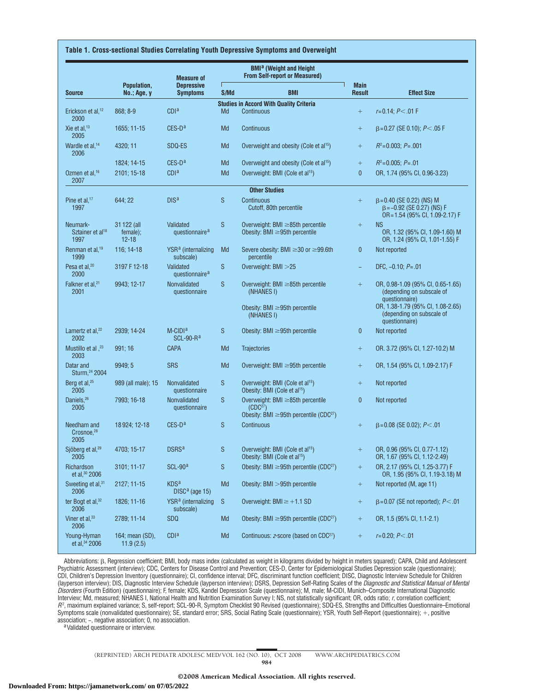#### **Table 1. Cross-sectional Studies Correlating Youth Depressive Symptoms and Overweight**

| <b>Source</b>                                    | Population,<br><b>No.; Age, y</b>    | <b>Measure of</b><br><b>Depressive</b><br><b>Symptoms</b> | <b>BMI<sup>a</sup></b> (Weight and Height<br><b>From Self-report or Measured)</b> |                                                                                                                      |                              |                                                                                                      |
|--------------------------------------------------|--------------------------------------|-----------------------------------------------------------|-----------------------------------------------------------------------------------|----------------------------------------------------------------------------------------------------------------------|------------------------------|------------------------------------------------------------------------------------------------------|
|                                                  |                                      |                                                           | S/Md                                                                              | <b>BMI</b>                                                                                                           | <b>Main</b><br><b>Result</b> | <b>Effect Size</b>                                                                                   |
|                                                  |                                      |                                                           |                                                                                   | <b>Studies in Accord With Quality Criteria</b>                                                                       |                              |                                                                                                      |
| Erickson et al, <sup>12</sup><br>2000            | 868; 8-9                             | CDI <sup>a</sup>                                          | Md                                                                                | Continuous                                                                                                           | $^{+}$                       | $r = 0.14$ ; $P < 01$ F                                                                              |
| Xie et al, <sup>13</sup><br>2005                 | 1655; 11-15                          | $CES-Da$                                                  | Md                                                                                | Continuous                                                                                                           | $^{+}$                       | $\beta$ =0.27 (SE 0.10); P<.05 F                                                                     |
| Wardle et al, <sup>14</sup><br>2006              | 4320; 11                             | SDQ-ES                                                    | Md                                                                                | Overweight and obesity (Cole et al <sup>15</sup> )                                                                   | $^{+}$                       | $R^2 = 0.003$ ; $P = .001$                                                                           |
|                                                  | 1824; 14-15                          | $CES-Da$                                                  | Md                                                                                | Overweight and obesity (Cole et al <sup>15</sup> )                                                                   | $+$                          | $R^2 = 0.005$ ; $P = .01$                                                                            |
| Ozmen et al, <sup>16</sup><br>2007               | 2101; 15-18                          | <b>CDI</b> <sup>a</sup>                                   | Md                                                                                | Overweight: BMI (Cole et al <sup>15</sup> )                                                                          | $\mathbf{0}$                 | OR, 1.74 (95% CI, 0.96-3.23)                                                                         |
|                                                  |                                      |                                                           |                                                                                   | <b>Other Studies</b>                                                                                                 |                              |                                                                                                      |
| Pine et al, $17$<br>1997                         | 644; 22                              | DIS <sup>a</sup>                                          | S                                                                                 | Continuous<br>Cutoff, 80th percentile                                                                                | $^{+}$                       | $\beta = 0.40$ (SE 0.22) (NS) M<br>$\beta$ = -0.92 (SE 0.27) (NS) F<br>OR=1.54 (95% CI, 1.09-2.17) F |
| Neumark-<br>Sztainer et al <sup>18</sup><br>1997 | 31 122 (all<br>female);<br>$12 - 18$ | Validated<br>questionnaire <sup>a</sup>                   | S                                                                                 | Overweight: BMI $\geq$ 85th percentile<br>Obesity: BMI $\geq$ 95th percentile                                        | $+$                          | <b>NS</b><br>OR, 1.32 (95% CI, 1.09-1.60) M<br>OR, 1.24 (95% CI, 1.01-1.55) F                        |
| Renman et al, <sup>19</sup><br>1999              | 116; 14-18                           | YSR <sup>a</sup> (internalizing<br>subscale)              | Md                                                                                | Severe obesity: BMI ≥30 or ≥99.6th<br>percentile                                                                     | $\mathbf 0$                  | Not reported                                                                                         |
| Pesa et al, <sup>20</sup><br>2000                | 3197 F 12-18                         | Validated<br>questionnaire <sup>a</sup>                   | ${\mathsf S}$                                                                     | Overweight: BMI > 25                                                                                                 | ÷                            | DFC, $-0.10$ ; $P = .01$                                                                             |
| Falkner et al, <sup>21</sup><br>2001             | 9943; 12-17                          | Nonvalidated<br>questionnaire                             | S                                                                                 | Overweight: BMI $\geq$ 85th percentile<br>(NHANES I)                                                                 | $+$                          | OR, 0.98-1.09 (95% CI, 0.65-1.65)<br>(depending on subscale of<br>questionnaire)                     |
|                                                  |                                      |                                                           |                                                                                   | Obesity: BMI ≥95th percentile<br>(NHANES I)                                                                          |                              | OR, 1.38-1.79 (95% CI, 1.08-2.65)<br>(depending on subscale of<br>questionnaire)                     |
| Lamertz et al, <sup>22</sup><br>2002             | 2939; 14-24                          | $M$ -CIDI <sup>a</sup><br>$SCL-90-Ra$                     | S                                                                                 | Obesity: BMI $\geq$ 95th percentile                                                                                  | 0                            | Not reported                                                                                         |
| Mustillo et al , <sup>23</sup><br>2003           | 991:16                               | <b>CAPA</b>                                               | Md                                                                                | <b>Trajectories</b>                                                                                                  | $^{+}$                       | OR. 3.72 (95% CI, 1.27-10.2) M                                                                       |
| Datar and<br>Sturm, 24 2004                      | 9949; 5                              | <b>SRS</b>                                                | Md                                                                                | Overweight: BMI $\geq$ 95th percentile                                                                               | $^{+}$                       | OR, 1.54 (95% CI, 1.09-2.17) F                                                                       |
| Berg et al, <sup>25</sup><br>2005                | 989 (all male); 15                   | Nonvalidated<br>questionnaire                             | S                                                                                 | Overweight: BMI (Cole et al <sup>15</sup> )<br>Obesity: BMI (Cole et al <sup>15</sup> )                              | $^{+}$                       | Not reported                                                                                         |
| Daniels. <sup>26</sup><br>2005                   | 7993; 16-18                          | Nonvalidated<br>questionnaire                             | S                                                                                 | Overweight: BMI ≥85th percentile<br>(CDC <sup>27</sup> )<br>Obesity: BMI $\geq$ 95th percentile (CDC <sup>27</sup> ) | $\bf{0}$                     | Not reported                                                                                         |
| Needham and<br>Crosnoe, <sup>28</sup><br>2005    | 18 9 24; 12 - 18                     | $CES-Da$                                                  | S                                                                                 | Continuous                                                                                                           | $^{+}$                       | $\beta$ =0.08 (SE 0.02); P<.01                                                                       |
| Sjöberg et al, <sup>29</sup><br>2005             | 4703; 15-17                          | <b>DSRS</b> <sup>a</sup>                                  | S                                                                                 | Overweight: BMI (Cole et al <sup>15</sup> )<br>Obesity: BMI (Cole et al <sup>15</sup> )                              |                              | OR, 0.96 (95% CI, 0.77-1.12)<br>OR, 1.67 (95% CI, 1.12-2.49)                                         |
| Richardson<br>et al, 30 2006                     | $3101; 11-17$                        | $SCL-90a$                                                 | S                                                                                 | Obesity: BMI $\geq$ 95th percentile (CDC <sup>27</sup> )                                                             | $^{+}$                       | OR, 2.17 (95% CI, 1.25-3.77) F<br>OR, 1.95 (95% CI, 1.19-3.18) M                                     |
| Sweeting et al, <sup>31</sup><br>2006            | 2127; 11-15                          | KDS <sup>a</sup><br>DISC <sup>a</sup> (age 15)            | Md                                                                                | Obesity: BMI > 95th percentile                                                                                       | $+$                          | Not reported (M, age 11)                                                                             |
| ter Bogt et al, $32$<br>2006                     | 1826; 11-16                          | YSR <sup>a</sup> (internalizing<br>subscale)              | <sub>S</sub>                                                                      | Overweight: BMI $\ge$ +1.1 SD                                                                                        | $+$                          | $\beta$ =0.07 (SE not reported); P<.01                                                               |
| Viner et al, $33$<br>2006                        | 2789; 11-14                          | <b>SDQ</b>                                                | Md                                                                                | Obesity: BMI $\geq$ 95th percentile (CDC <sup>27</sup> )                                                             | $^{+}$                       | OR, 1.5 (95% CI, 1.1-2.1)                                                                            |
| Young-Hyman<br>et al, 34 2006                    | 164; mean (SD),<br>11.9(2.5)         | CDI <sup>a</sup>                                          | Md                                                                                | Continuous: z-score (based on CDC <sup>27</sup> )                                                                    |                              | $r=0.20; P<.01$                                                                                      |

Abbreviations:  $\beta$ , Regression coefficient; BMI, body mass index (calculated as weight in kilograms divided by height in meters squared); CAPA, Child and Adolescent Psychiatric Assessment (interview); CDC, Centers for Disease Control and Prevention; CES-D, Center for Epidemiological Studies Depression scale (questionnaire); CDI, Children's Depression Inventory (questionnaire); CI, confidence interval; DFC, discriminant function coefficient; DISC, Diagnostic Interview Schedule for Children (layperson interview); DIS, Diagnostic Interview Schedule (layperson interview); DSRS, Depression Self-Rating Scales of the *Diagnostic and Statistical Manual of Mental Disorders* (Fourth Edition) (questionnaire); F, female; KDS, Kandel Depression Scale (questionnaire); M, male; M-CIDI, Munich–Composite International Diagnostic Interview; Md, measured; NHANES I, National Health and Nutrition Examination Survey I; NS, not statistically significant; OR, odds ratio; *r*, correlation coefficient; *R*2 , maximum explained variance; S, self-report; SCL-90-R, Symptom Checklist 90 Revised (questionnaire); SDQ-ES, Strengths and Difficulties Questionnaire–Emotional Symptoms scale (nonvalidated questionnaire); SE, standard error; SRS, Social Rating Scale (questionnaire); YSR, Youth Self-Report (questionnaire); -, positive association; −, negative association; 0, no association. aValidated questionnaire or interview.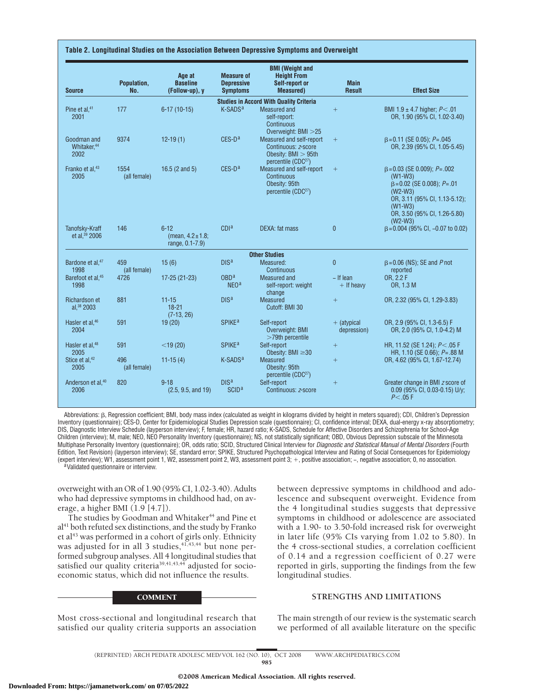| <b>Source</b>                                  | Population,<br>No.   | Age at<br><b>Baseline</b><br>(Follow-up), y           | <b>Measure of</b><br><b>Depressive</b><br><b>Symptoms</b> | <b>BMI (Weight and</b><br><b>Height From</b><br>Self-report or<br><b>Measured</b> )                         | <b>Main</b><br><b>Result</b> | <b>Effect Size</b>                                                                                                                                                                                 |
|------------------------------------------------|----------------------|-------------------------------------------------------|-----------------------------------------------------------|-------------------------------------------------------------------------------------------------------------|------------------------------|----------------------------------------------------------------------------------------------------------------------------------------------------------------------------------------------------|
|                                                |                      |                                                       |                                                           | <b>Studies in Accord With Quality Criteria</b>                                                              |                              |                                                                                                                                                                                                    |
| Pine et al, <sup>41</sup><br>2001              | 177                  | $6-17(10-15)$                                         | K-SADS <sup>a</sup>                                       | <b>Measured</b> and<br>self-report:<br>Continuous<br>Overweight: BMI > 25                                   | $^{+}$                       | BMI 1.9 ± 4.7 higher; $P < .01$<br>OR, 1.90 (95% CI, 1.02-3.40)                                                                                                                                    |
| Goodman and<br>Whitaker, <sup>44</sup><br>2002 | 9374                 | $12-19(1)$                                            | $CES-Da$                                                  | Measured and self-report<br>Continuous: z-score<br>Obesity: $BMI > 95th$<br>percentile (CDC <sup>27</sup> ) | $+$                          | $\beta = 0.11$ (SE 0.05); P=.045<br>OR, 2.39 (95% CI, 1.05-5.45)                                                                                                                                   |
| Franko et al, <sup>43</sup><br>2005            | 1554<br>(all female) | 16.5 $(2 \text{ and } 5)$                             | $CES-Da$                                                  | Measured and self-report<br>Continuous<br>Obesity: 95th<br>percentile (CDC <sup>27</sup> )                  | $+$                          | $\beta = 0.03$ (SE 0.009); $P = .002$<br>$(W1-W3)$<br>$\beta = 0.02$ (SE 0.008); $P = .01$<br>$(W2-W3)$<br>OR, 3.11 (95% CI, 1.13-5.12);<br>$(W1-W3)$<br>OR, 3.50 (95% CI, 1.26-5.80)<br>$(W2-W3)$ |
| Tanofsky-Kraff<br>et al, 39 2006               | 146                  | $6 - 12$<br>(mean, $4.2 \pm 1.8$ ;<br>range, 0.1-7.9) | CDI <sup>a</sup>                                          | <b>DEXA:</b> fat mass                                                                                       | $\overline{0}$               | $\beta = 0.004$ (95% CI, -0.07 to 0.02)                                                                                                                                                            |
|                                                |                      |                                                       |                                                           | <b>Other Studies</b>                                                                                        |                              |                                                                                                                                                                                                    |
| Bardone et al, <sup>47</sup><br>1998           | 459<br>(all female)  | 15(6)                                                 | DIS <sup>a</sup>                                          | Measured:<br><b>Continuous</b>                                                                              | $\pmb{0}$                    | $\beta = 0.06$ (NS); SE and P not<br>reported                                                                                                                                                      |
| Barefoot et al, <sup>45</sup><br>1998          | 4726                 | 17-25 (21-23)                                         | OBD <sup>a</sup><br>NEO <sup>a</sup>                      | <b>Measured and</b><br>self-report: weight<br>change                                                        | $-$ If lean<br>$+$ If heavy  | OR. 2.2 F<br>OR, 1.3 M                                                                                                                                                                             |
| Richardson et<br>al, 38 2003                   | 881                  | $11 - 15$<br>$18 - 21$<br>$(7-13, 26)$                | DIS <sup>a</sup>                                          | <b>Measured</b><br>Cutoff: BMI 30                                                                           | $\boldsymbol{+}$             | OR, 2.32 (95% CI, 1.29-3.83)                                                                                                                                                                       |
| Hasler et al, <sup>46</sup><br>2004            | 591                  | 19(20)                                                | <b>SPIKE<sup>a</sup></b>                                  | Self-report<br>Overweight: BMI<br>$>79$ th percentile                                                       | $+$ (atypical<br>depression) | OR, 2.9 (95% CI, 1.3-6.5) F<br>OR, 2.0 (95% CI, 1.0-4.2) M                                                                                                                                         |
| Hasler et al, <sup>48</sup><br>2005            | 591                  | $<$ 19 $(20)$                                         | <b>SPIKE<sup>a</sup></b>                                  | Self-report<br>Obesity: BMI $\geq$ 30                                                                       | $+$                          | HR, 11.52 (SE 1.24); P<.05 F<br>HR, 1.10 (SE 0.66); P=.88 M                                                                                                                                        |
| Stice et al, <sup>42</sup><br>2005             | 496<br>(all female)  | $11-15(4)$                                            | K-SADS <sup>a</sup>                                       | <b>Measured</b><br>Obesity: 95th<br>percentile (CDC <sup>27</sup> )                                         | $\boldsymbol{+}$             | OR, 4.62 (95% CI, 1.67-12.74)                                                                                                                                                                      |
| Anderson et al, <sup>40</sup><br>2006          | 820                  | $9 - 18$<br>(2.5, 9.5, and 19)                        | DIS <sup>a</sup><br>SCID <sup>a</sup>                     | Self-report<br>Continuous: z-score                                                                          | $^{+}$                       | Greater change in BMI z score of<br>0.09 (95% CI, 0.03-0.15) U/y;<br>P<.05 F                                                                                                                       |

Abbreviations:  $\beta$ , Regression coefficient; BMI, body mass index (calculated as weight in kilograms divided by height in meters squared); CDI, Children's Depression Inventory (questionnaire); CES-D, Center for Epidemiological Studies Depression scale (questionnaire); CI, confidence interval; DEXA, dual-energy x-ray absorptiometry; DIS, Diagnostic Interview Schedule (layperson interview); F, female; HR, hazard ratio; K-SADS, Schedule for Affective Disorders and Schizophrenia for School-Age Children (interview); M, male; NEO, NEO Personality Inventory (questionnaire); NS, not statistically significant; OBD, Obvious Depression subscale of the Minnesota Multiphase Personality Inventory (questionnaire); OR, odds ratio; SCID, Structured Clinical Interview for *Diagnostic and Statistical Manual of Mental Disorders* (Fourth Edition, Text Revision) (layperson interview); SE, standard error; SPIKE, Structured Psychopathological Interview and Rating of Social Consequences for Epidemiology (expert interview); W1, assessment point 1, W2, assessment point 2, W3, assessment point 3; +, positive association; −, negative association; 0, no association.<br><sup>a</sup>Validated questionnaire or interview.

overweight with an OR of 1.90 (95% CI, 1.02-3.40). Adults who had depressive symptoms in childhood had, on average, a higher BMI (1.9 [4.7]).

The studies by Goodman and Whitaker<sup>44</sup> and Pine et  $al<sup>41</sup>$  both refuted sex distinctions, and the study by Franko et al<sup>43</sup> was performed in a cohort of girls only. Ethnicity was adjusted for in all 3 studies, $41,43,44$  but none performed subgroup analyses. All 4 longitudinal studies that satisfied our quality criteria<sup>39,41,43,44</sup> adjusted for socioeconomic status, which did not influence the results.

#### **COMMENT**

Most cross-sectional and longitudinal research that satisfied our quality criteria supports an association

between depressive symptoms in childhood and adolescence and subsequent overweight. Evidence from the 4 longitudinal studies suggests that depressive symptoms in childhood or adolescence are associated with a 1.90- to 3.50-fold increased risk for overweight in later life (95% CIs varying from 1.02 to 5.80). In the 4 cross-sectional studies, a correlation coefficient of 0.14 and a regression coefficient of 0.27 were reported in girls, supporting the findings from the few longitudinal studies.

## **STRENGTHS AND LIMITATIONS**

The main strength of our review is the systematic search we performed of all available literature on the specific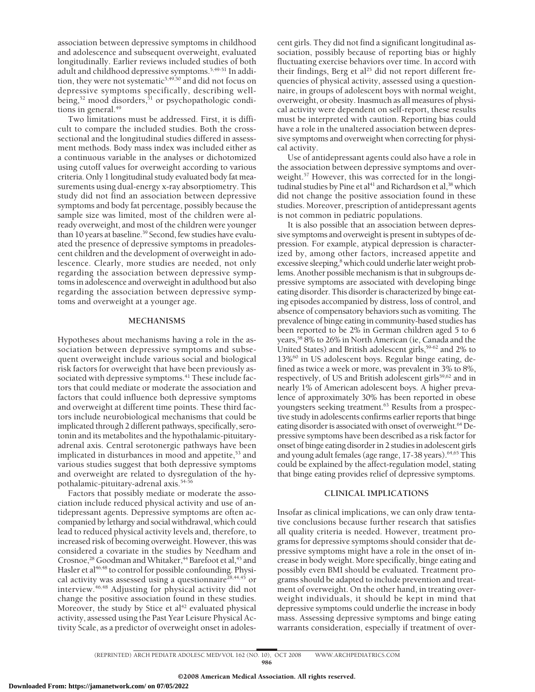association between depressive symptoms in childhood and adolescence and subsequent overweight, evaluated longitudinally. Earlier reviews included studies of both adult and childhood depressive symptoms.<sup>5,49-51</sup> In addition, they were not systematic<sup>5,49,50</sup> and did not focus on depressive symptoms specifically, describing wellbeing, $52 \text{ mood}$  disorders, $51 \text{ or psychopathologic condi-}$ tions in general.<sup>49</sup>

Two limitations must be addressed. First, it is difficult to compare the included studies. Both the crosssectional and the longitudinal studies differed in assessment methods. Body mass index was included either as a continuous variable in the analyses or dichotomized using cutoff values for overweight according to various criteria. Only 1 longitudinal study evaluated body fat measurements using dual-energy x-ray absorptiometry. This study did not find an association between depressive symptoms and body fat percentage, possibly because the sample size was limited, most of the children were already overweight, and most of the children were younger than 10 years at baseline.<sup>39</sup> Second, few studies have evaluated the presence of depressive symptoms in preadolescent children and the development of overweight in adolescence. Clearly, more studies are needed, not only regarding the association between depressive symptoms in adolescence and overweight in adulthood but also regarding the association between depressive symptoms and overweight at a younger age.

#### **MECHANISMS**

Hypotheses about mechanisms having a role in the association between depressive symptoms and subsequent overweight include various social and biological risk factors for overweight that have been previously associated with depressive symptoms.<sup>41</sup> These include factors that could mediate or moderate the association and factors that could influence both depressive symptoms and overweight at different time points. These third factors include neurobiological mechanisms that could be implicated through 2 different pathways, specifically, serotonin and its metabolites and the hypothalamic-pituitaryadrenal axis. Central serotonergic pathways have been implicated in disturbances in mood and appetite, $53$  and various studies suggest that both depressive symptoms and overweight are related to dysregulation of the hypothalamic-pituitary-adrenal axis.54-56

Factors that possibly mediate or moderate the association include reduced physical activity and use of antidepressant agents. Depressive symptoms are often accompanied by lethargy and social withdrawal, which could lead to reduced physical activity levels and, therefore, to increased risk of becoming overweight. However, this was considered a covariate in the studies by Needham and Crosnoe,<sup>28</sup> Goodman and Whitaker,<sup>44</sup> Barefoot et al,<sup>45</sup> and Hasler et al<sup>46,48</sup> to control for possible confounding. Physical activity was assessed using a questionnaire<sup>28,44,45</sup> or interview.46,48 Adjusting for physical activity did not change the positive association found in these studies. Moreover, the study by Stice et  $al<sup>42</sup>$  evaluated physical activity, assessed using the Past Year Leisure Physical Activity Scale, as a predictor of overweight onset in adolescent girls. They did not find a significant longitudinal association, possibly because of reporting bias or highly fluctuating exercise behaviors over time. In accord with their findings, Berg et al<sup>25</sup> did not report different frequencies of physical activity, assessed using a questionnaire, in groups of adolescent boys with normal weight, overweight, or obesity. Inasmuch as all measures of physical activity were dependent on self-report, these results must be interpreted with caution. Reporting bias could have a role in the unaltered association between depressive symptoms and overweight when correcting for physical activity.

Use of antidepressant agents could also have a role in the association between depressive symptoms and overweight.<sup>57</sup> However, this was corrected for in the longitudinal studies by Pine et al<sup>41</sup> and Richardson et al,<sup>38</sup> which did not change the positive association found in these studies. Moreover, prescription of antidepressant agents is not common in pediatric populations.

It is also possible that an association between depressive symptoms and overweight is present in subtypes of depression. For example, atypical depression is characterized by, among other factors, increased appetite and excessive sleeping,<sup>8</sup> which could underlie later weight problems. Another possible mechanism is that in subgroups depressive symptoms are associated with developing binge eating disorder. This disorder is characterized by binge eating episodes accompanied by distress, loss of control, and absence of compensatory behaviors such as vomiting. The prevalence of binge eating in community-based studies has been reported to be 2% in German children aged 5 to 6 years,58 8% to 26% in North American (ie, Canada and the United States) and British adolescent girls,<sup>59-62</sup> and 2% to 13%60 in US adolescent boys. Regular binge eating, defined as twice a week or more, was prevalent in 3% to 8%, respectively, of US and British adolescent girls<sup>59,62</sup> and in nearly 1% of American adolescent boys. A higher prevalence of approximately 30% has been reported in obese youngsters seeking treatment.<sup>63</sup> Results from a prospective study in adolescents confirms earlier reports that binge eating disorder is associated with onset of overweight.<sup>64</sup> Depressive symptoms have been described as a risk factor for onset of binge eating disorder in 2 studies in adolescent girls and young adult females (age range, 17-38 years).<sup>64,65</sup> This could be explained by the affect-regulation model, stating that binge eating provides relief of depressive symptoms.

#### **CLINICAL IMPLICATIONS**

Insofar as clinical implications, we can only draw tentative conclusions because further research that satisfies all quality criteria is needed. However, treatment programs for depressive symptoms should consider that depressive symptoms might have a role in the onset of increase in body weight. More specifically, binge eating and possibly even BMI should be evaluated. Treatment programs should be adapted to include prevention and treatment of overweight. On the other hand, in treating overweight individuals, it should be kept in mind that depressive symptoms could underlie the increase in body mass. Assessing depressive symptoms and binge eating warrants consideration, especially if treatment of over-

<sup>(</sup>REPRINTED) ARCH PEDIATR ADOLESC MED/ VOL 162 (NO. 10), OCT 2008 WWW.ARCHPEDIATRICS.COM 986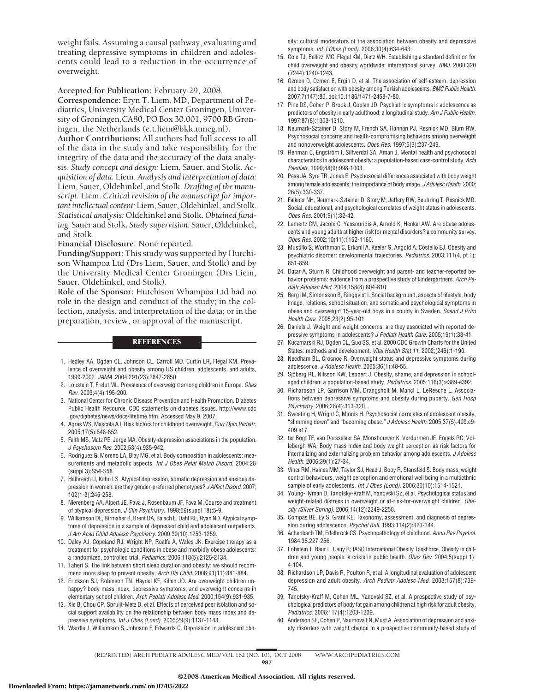weight fails. Assuming a causal pathway, evaluating and treating depressive symptoms in children and adolescents could lead to a reduction in the occurrence of overweight.

**Accepted for Publication:** February 29, 2008.

**Correspondence:** Eryn T. Liem, MD, Department of Pediatrics, University Medical Center Groningen, University of Groningen,CA80, PO Box 30.001, 9700 RB Groningen, the Netherlands (e.t.liem@bkk.umcg.nl).

**Author Contributions:** All authors had full access to all of the data in the study and take responsibility for the integrity of the data and the accuracy of the data analysis. *Study concept and design:* Liem, Sauer, and Stolk. *Acquisition of data:* Liem. *Analysis and interpretation of data:* Liem, Sauer, Oldehinkel, and Stolk. *Drafting of the manuscript:* Liem. *Critical revision of the manuscript for important intellectual content:* Liem, Sauer, Oldehinkel, and Stolk. *Statistical analysis:* Oldehinkel and Stolk. *Obtained funding:* Sauer and Stolk. *Study supervision:* Sauer, Oldehinkel, and Stolk.

**Financial Disclosure:** None reported.

**Funding/Support:** This study was supported by Hutchison Whampoa Ltd (Drs Liem, Sauer, and Stolk) and by the University Medical Center Groningen (Drs Liem, Sauer, Oldehinkel, and Stolk).

**Role of the Sponsor:** Hutchison Whampoa Ltd had no role in the design and conduct of the study; in the collection, analysis, and interpretation of the data; or in the preparation, review, or approval of the manuscript.

### **REFERENCES**

- 1. Hedley AA, Ogden CL, Johnson CL, Carroll MD, Curtin LR, Flegal KM. Prevalence of overweight and obesity among US children, adolescents, and adults, 1999-2002. *JAMA*. 2004;291(23):2847-2850.
- 2. Lobstein T, Frelut ML. Prevalence of overweight among children in Europe. *Obes Rev*. 2003;4(4):195-200.
- 3. National Center for Chronic Disease Prevention and Health Promotion. Diabetes Public Health Resource. CDC statements on diabetes issues. http://www.cdc .gov/diabetes/news/docs/lifetime.htm. Accessed May 9, 2007.
- 4. Agras WS, Mascola AJ. Risk factors for childhood overweight. *Curr Opin Pediatr*. 2005;17(5):648-652.
- 5. Faith MS, Matz PE, Jorge MA. Obesity-depression associations in the population. *J Psychosom Res*. 2002;53(4):935-942.
- 6. Rodríguez G, Moreno LA, Blay MG, et al. Body composition in adolescents: measurements and metabolic aspects. *Int J Obes Relat Metab Disord*. 2004;28 (suppl 3):S54-S58.
- 7. Halbreich U, Kahn LS. Atypical depression, somatic depression and anxious depression in women: are they gender-preferred phenotypes? *J Affect Disord*. 2007; 102(1-3):245-258.
- 8. Nierenberg AA, Alpert JE, Pava J, Rosenbaum JF, Fava M. Course and treatment of atypical depression. *J Clin Psychiatry*. 1998;59(suppl 18):5-9.
- 9. Williamson DE, Birmaher B, Brent DA, Balach L, Dahl RE, Ryan ND. Atypical symptoms of depression in a sample of depressed child and adolescent outpatients. *J Am Acad Child Adolesc Psychiatry*. 2000;39(10):1253-1259.
- 10. Daley AJ, Copeland RJ, Wright NP, Roalfe A, Wales JK. Exercise therapy as a treatment for psychologic conditions in obese and morbidly obese adolescents: a randomized, controlled trial. *Pediatrics*. 2006;118(5):2126-2134.
- 11. Taheri S. The link between short sleep duration and obesity: we should recommend more sleep to prevent obesity. *Arch Dis Child*. 2006;91(11):881-884.
- 12. Erickson SJ, Robinson TN, Haydel KF, Killen JD. Are overweight children unhappy? body mass index, depressive symptoms, and overweight concerns in elementary school children. *Arch Pediatr Adolesc Med*. 2000;154(9):931-935.
- 13. Xie B, Chou CP, Spruijt-Metz D, et al. Effects of perceived peer isolation and social support availability on the relationship between body mass index and depressive symptoms. *Int J Obes (Lond)*. 2005;29(9):1137-1143.
- 14. Wardle J, Williamson S, Johnson F, Edwards C. Depression in adolescent obe-

sity: cultural moderators of the association between obesity and depressive symptoms. *Int J Obes (Lond)*. 2006;30(4):634-643.

- 15. Cole TJ, Bellizzi MC, Flegal KM, Dietz WH. Establishing a standard definition for child overweight and obesity worldwide: international survey. *BMJ*. 2000;320 (7244):1240-1243.
- 16. Ozmen D, Ozmen E, Ergin D, et al. The association of self-esteem, depression and body satisfaction with obesity among Turkish adolescents. *BMC Public Health*. 2007;7(147):80. doi:10.1186/1471-2458-7-80.
- 17. Pine DS, Cohen P, Brook J, Coplan JD. Psychiatric symptoms in adolescence as predictors of obesity in early adulthood: a longitudinal study. *Am J Public Health*. 1997;87(8):1303-1310.
- 18. Neumark-Sztainer D, Story M, French SA, Hannan PJ, Resnick MD, Blum RW. Psychosocial concerns and health-compromising behaviors among overweight and nonoverweight adolescents. *Obes Res*. 1997;5(3):237-249.
- 19. Renman C, Engström I, Silfverdal SA, Aman J. Mental health and psychosocial characteristics in adolescent obesity: a population-based case-control study. *Acta Paediatr*. 1999;88(9):998-1003.
- 20. Pesa JA, Syre TR, Jones E. Psychosocial differences associated with body weight among female adolescents: the importance of body image. *J Adolesc Health*. 2000; 26(5):330-337.
- 21. Falkner NH, Neumark-Sztainer D, Story M, Jeffery RW, Beuhring T, Resnick MD. Social, educational, and psychological correlates of weight status in adolescents. *Obes Res*. 2001;9(1):32-42.
- 22. Lamertz CM, Jacobi C, Yassouridis A, Arnold K, Henkel AW. Are obese adolescents and young adults at higher risk for mental disorders? a community survey. *Obes Res*. 2002;10(11):1152-1160.
- 23. Mustillo S, Worthman C, Erkanli A, Keeler G, Angold A, Costello EJ. Obesity and psychiatric disorder: developmental trajectories. *Pediatrics*. 2003;111(4, pt 1): 851-859.
- 24. Datar A, Sturm R. Childhood overweight and parent- and teacher-reported behavior problems: evidence from a prospective study of kindergartners. *Arch Pediatr Adolesc Med*. 2004;158(8):804-810.
- 25. Berg IM, Simonsson B, Ringqvist I. Social background, aspects of lifestyle, body image, relations, school situation, and somatic and psychological symptoms in obese and overweight 15-year-old boys in a county in Sweden. *Scand J Prim Health Care*. 2005;23(2):95-101.
- 26. Daniels J. Weight and weight concerns: are they associated with reported depressive symptoms in adolescents? *J Pediatr Health Care*. 2005;19(1):33-41.
- 27. Kuczmarski RJ, Ogden CL, Guo SS, et al. 2000 CDC Growth Charts for the United States: methods and development. *Vital Health Stat 11*. 2002;(246):1-190.
- 28. Needham BL, Crosnoe R. Overweight status and depressive symptoms during adolescence. *J Adolesc Health*. 2005;36(1):48-55.
- 29. Sjöberg RL, Nilsson KW, Leppert J. Obesity, shame, and depression in schoolaged children: a population-based study. *Pediatrics*. 2005;116(3):e389-e392.
- 30. Richardson LP, Garrison MM, Drangsholt M, Mancl L, LeResche L. Associations between depressive symptoms and obesity during puberty. *Gen Hosp Psychiatry*. 2006;28(4):313-320.
- 31. Sweeting H, Wright C, Minnis H. Psychosocial correlates of adolescent obesity, "slimming down" and "becoming obese." *J Adolesc Health*. 2005;37(5):409.e9- 409.e17.
- 32. ter Bogt TF, van Dorsselaer SA, Monshouwer K, Verdurmen JE, Engels RC, Vollebergh WA. Body mass index and body weight perception as risk factors for internalizing and externalizing problem behavior among adolescents. *J Adolesc Health*. 2006;39(1):27-34.
- 33. Viner RM, Haines MM, Taylor SJ, Head J, Booy R, Stansfeld S. Body mass, weight control behaviours, weight perception and emotional well being in a multiethnic sample of early adolescents. *Int J Obes (Lond)*. 2006;30(10):1514-1521.
- 34. Young-Hyman D, Tanofsky-Kraff M, Yanovski SZ, et al. Psychological status and weight-related distress in overweight or at-risk-for-overweight children. *Obesity (Silver Spring)*. 2006;14(12):2249-2258.
- 35. Compas BE, Ey S, Grant KE. Taxonomy, assessment, and diagnosis of depression during adolescence. *Psychol Bull*. 1993;114(2):323-344.
- 36. Achenbach TM, Edelbrock CS. Psychopathology of childhood. *Annu Rev Psychol*. 1984;35:227-256.
- 37. Lobstein T, Baur L, Uauy R; IASO International Obesity TaskForce. Obesity in children and young people: a crisis in public health. *Obes Rev*. 2004;5(suppl 1): 4-104.
- 38. Richardson LP, Davis R, Poulton R, et al. A longitudinal evaluation of adolescent depression and adult obesity. *Arch Pediatr Adolesc Med*. 2003;157(8):739- 745.
- 39. Tanofsky-Kraff M, Cohen ML, Yanovski SZ, et al. A prospective study of psychological predictors of body fat gain among children at high risk for adult obesity. *Pediatrics*. 2006;117(4):1203-1209.
- 40. Anderson SE, Cohen P, Naumova EN, Must A. Association of depression and anxiety disorders with weight change in a prospective community-based study of